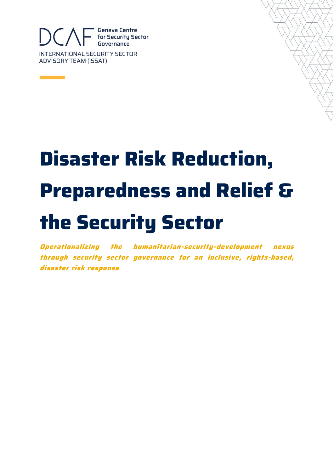

# **Disaster Risk Reduction, Preparedness and Relief & the Security Sector**

**Operationalizing the humanitarian-security-development nexus through security sector governance for an inclusive, rights-based, disaster risk response**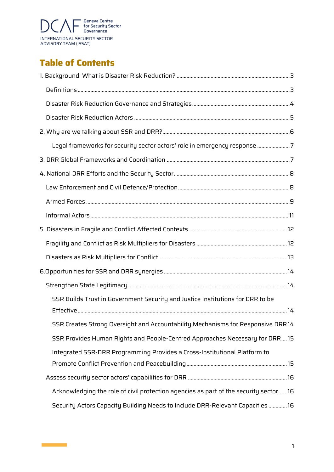

# **Table of Contents**

 $\mathcal{L}^{\text{max}}_{\text{max}}$  and  $\mathcal{L}^{\text{max}}_{\text{max}}$ 

| Legal frameworks for security sector actors' role in emergency response 7            |  |
|--------------------------------------------------------------------------------------|--|
|                                                                                      |  |
|                                                                                      |  |
|                                                                                      |  |
|                                                                                      |  |
|                                                                                      |  |
|                                                                                      |  |
|                                                                                      |  |
|                                                                                      |  |
|                                                                                      |  |
|                                                                                      |  |
| SSR Builds Trust in Government Security and Justice Institutions for DRR to be       |  |
| SSR Creates Strong Oversight and Accountability Mechanisms for Responsive DRR14      |  |
| SSR Provides Human Rights and People-Centred Approaches Necessary for DRR15          |  |
| Integrated SSR-DRR Programming Provides a Cross-Institutional Platform to            |  |
|                                                                                      |  |
| Acknowledging the role of civil protection agencies as part of the security sector16 |  |
| Security Actors Capacity Building Needs to Include DRR-Relevant Capacities  16       |  |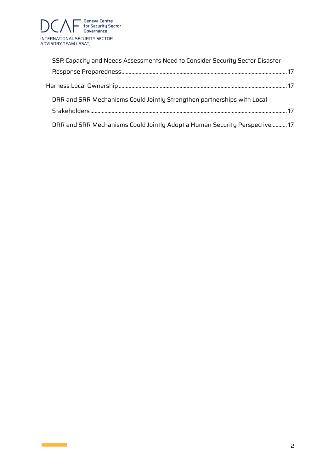

 $\mathcal{L}_{\text{max}}$  and  $\mathcal{L}_{\text{max}}$ 

| SSR Capacity and Needs Assessments Need to Consider Security Sector Disaster |                                                                             |  |  |  |
|------------------------------------------------------------------------------|-----------------------------------------------------------------------------|--|--|--|
|                                                                              |                                                                             |  |  |  |
|                                                                              |                                                                             |  |  |  |
|                                                                              | DRR and SRR Mechanisms Could Jointly Strengthen partnerships with Local     |  |  |  |
|                                                                              |                                                                             |  |  |  |
|                                                                              | DRR and SRR Mechanisms Could Jointly Adopt a Human Security Perspective  17 |  |  |  |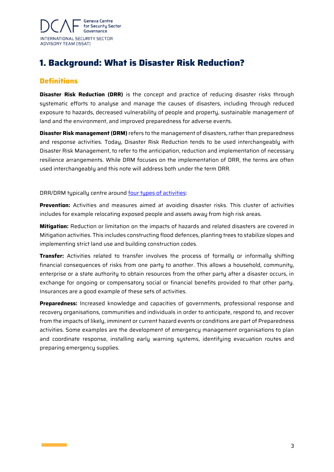

# <span id="page-3-0"></span>**1. Background: What is Disaster Risk Reduction?**

# <span id="page-3-1"></span>**Definitions**

**Disaster Risk Reduction (DRR)** is the concept and practice of reducing disaster risks through systematic efforts to analyse and manage the causes of disasters, including through reduced exposure to hazards, decreased vulnerability of people and property, sustainable management of land and the environment, and improved preparedness for adverse events.

**Disaster Risk management (DRM)** refers to the management of disasters, rather than preparedness and response activities. Today, Disaster Risk Reduction tends to be used interchangeably with Disaster Risk Management, to refer to the anticipation, reduction and implementation of necessary resilience arrangements. While DRM focuses on the implementation of DRR, the terms are often used interchangeably and this note will address both under the term DRR.

#### DRR/DRM typically centre around <u>four types of activities</u>:

**Prevention:** Activities and measures aimed at avoiding disaster risks. This cluster of activities includes for example relocating exposed people and assets away from high risk areas.

**Mitigation:** Reduction or limitation on the impacts of hazards and related disasters are covered in Mitigation activities. This includes constructing flood defences, planting trees to stabilize slopes and implementing strict land use and building construction codes.

**Transfer:** Activities related to transfer involves the process of formally or informally shifting financial consequences of risks from one party to another. This allows a household, community, enterprise or a state authority to obtain resources from the other party after a disaster occurs, in exchange for ongoing or compensatory social or financial benefits provided to that other party. Insurances are a good example of these sets of activities.

**Preparedness:** Increased knowledge and capacities of governments, professional response and recovery organisations, communities and individuals in order to anticipate, respond to, and recover from the impacts of likely, imminent or current hazard events or conditions are part of Preparedness activities. Some examples are the development of emergency management organisations to plan and coordinate response, installing early warning systems, identifying evacuation routes and preparing emergency supplies.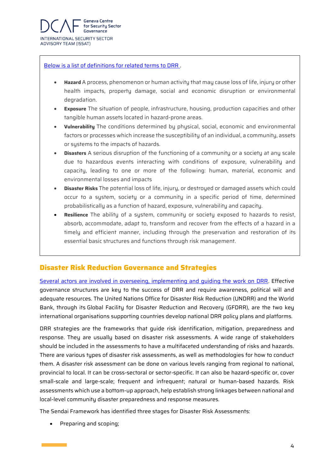

#### [Below is a list of definitions for related terms to DRR .](https://www.preventionweb.net/terminology#V)

- **Hazard** A process, phenomenon or human activity that may cause loss of life, injury or other health impacts, property damage, social and economic disruption or environmental degradation.
- **Exposure** The situation of people, infrastructure, housing, production capacities and other tangible human assets located in hazard-prone areas.
- **Vulnerability** The conditions determined by physical, social, economic and environmental factors or processes which increase the susceptibility of an individual, a community, assets or systems to the impacts of hazards.
- **Disasters** A serious disruption of the functioning of a community or a society at any scale due to hazardous events interacting with conditions of exposure, vulnerability and capacity, leading to one or more of the following: human, material, economic and environmental losses and impacts
- **Disaster Risks** The potential loss of life, injury, or destroyed or damaged assets which could occur to a system, society or a community in a specific period of time, determined probabilistically as a function of hazard, exposure, vulnerability and capacity.
- **Resilience** The ability of a system, community or society exposed to hazards to resist, absorb, accommodate, adapt to, transform and recover from the effects of a hazard in a timely and efficient manner, including through the preservation and restoration of its essential basic structures and functions through risk management.

# <span id="page-4-0"></span>**Disaster Risk Reduction Governance and Strategies**

[Several actors are involved in overseeing, implementing and guiding the work on DRR.](https://www.preventionweb.net/files/58211_section4.pdf) Effective governance structures are key to the success of DRR and require awareness, political will and adequate resources. The United Nations Office for Disaster Risk Reduction (UNDRR) and the World Bank, through its Global Facility for Disaster Reduction and Recovery (GFDRR), are the two key international organisations supporting countries develop national DRR policy plans and platforms.

DRR strategies are the frameworks that guide risk identification, mitigation, preparedness and response. They are usually based on disaster risk assessments. A wide range of stakeholders should be included in the assessments to have a multifaceted understanding of risks and hazards. There are various types of disaster risk assessments, as well as methodologies for how to conduct them. A disaster risk assessment can be done on various levels ranging from regional to national, provincial to local. It can be cross-sectoral or sector-specific. It can also be hazard-specific or, cover small-scale and large-scale; frequent and infrequent; natural or human-based hazards. Risk assessments which use a bottom-up approach, help establish strong linkages between national and local-level community disaster preparedness and response measures.

The Sendai Framework has identified three stages for Disaster Risk Assessments:

• Preparing and scoping;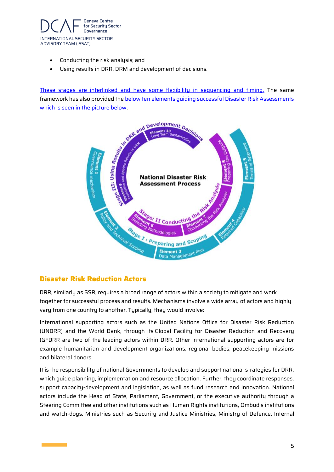

- Conducting the risk analysis; and
- Using results in DRR, DRM and development of decisions.

framework has also provided th[e below ten elements guiding successful Disaster Risk Assessments](https://www.shareweb.ch/site/DRR/Documents/Types%20of%20activity/Risk%20Assessments/UNISDR-NationalDisasterRiskAssessment-2017.pdf) which is seen in the picture below.



# <span id="page-5-0"></span>**Disaster Risk Reduction Actors**

DRR, similarly as SSR, requires a broad range of actors within a society to mitigate and work together for successful process and results. Mechanisms involve a wide array of actors and highly vary from one country to another. Typically, they would involve:

International supporting actors such as the United Nations Office for Disaster Risk Reduction (UNDRR) and the World Bank, through its Global Facility for Disaster Reduction and Recovery (GFDRR are two of the leading actors within DRR. Other international supporting actors are for example humanitarian and development organizations, regional bodies, peacekeeping missions and bilateral donors.

It is the responsibility of national Governments to develop and support national strategies for DRR, which guide planning, implementation and resource allocation. Further, they coordinate responses, support capacity-development and legislation, as well as fund research and innovation. National actors include the Head of State, Parliament, Government, or the executive authority through a Steering Committee and other institutions such as Human Rights institutions, Ombud's institutions and watch-dogs. Ministries such as Security and Justice Ministries, Ministry of Defence, Internal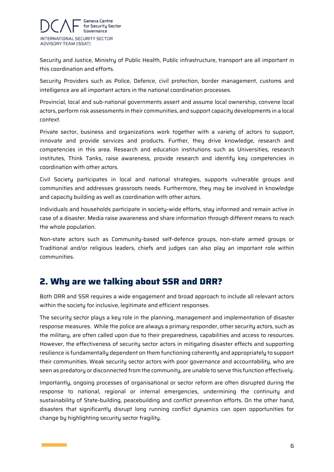

Security and Justice, Ministry of Public Health, Public infrastructure, transport are all important in this coordination and efforts.

Security Providers such as Police, Defence, civil protection, border management, customs and intelligence are all important actors in the national coordination processes.

Provincial, local and sub-national governments assert and assume local ownership, convene local actors, perform risk assessments in their communities, and support capacity developments in a local context.

Private sector, business and organizations work together with a variety of actors to support, innovate and provide services and products. Further, they drive knowledge, research and competencies in this area. Research and education institutions such as Universities, research institutes, Think Tanks, raise awareness, provide research and identify key competencies in coordination with other actors.

Civil Society participates in local and national strategies, supports vulnerable groups and communities and addresses grassroots needs. Furthermore, they may be involved in knowledge and capacity building as well as coordination with other actors.

Individuals and households participate in society-wide efforts, stay informed and remain active in case of a disaster. Media raise awareness and share information through different means to reach the whole population.

Non-state actors such as Community-based self-defence groups, non-state armed groups or Traditional and/or religious leaders, chiefs and judges can also play an important role within communities.

# <span id="page-6-0"></span>**2. Why are we talking about SSR and DRR?**

Both DRR and SSR requires a wide engagement and broad approach to include all relevant actors within the society for inclusive, legitimate and efficient responses.

The security sector plays a key role in the planning, management and implementation of disaster response measures. While the police are always a primary responder, other security actors, such as the military, are often called upon due to their preparedness, capabilities and access to resources. However, the effectiveness of security sector actors in mitigating disaster effects and supporting resilience is fundamentally dependent on them functioning coherently and appropriately to support their communities. Weak security sector actors with poor governance and accountability, who are seen as predatory or disconnected from the community, are unable to serve this function effectively.

Importantly, ongoing processes of organisational or sector reform are often disrupted during the response to national, regional or internal emergencies, undermining the continuity and sustainability of State-building, peacebuilding and conflict prevention efforts. On the other hand, disasters that significantly disrupt long running conflict dynamics can open opportunities for change by highlighting security sector fragility.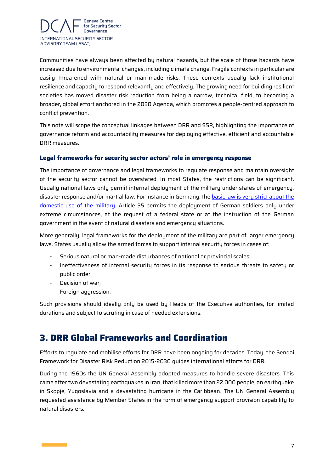

Communities have always been affected by natural hazards, but the scale of those hazards have increased due to environmental changes, including climate change. Fragile contexts in particular are easily threatened with natural or man-made risks. These contexts usually lack institutional resilience and capacity to respond relevantly and effectively. The growing need for building resilient societies has moved disaster risk reduction from being a narrow, technical field, to becoming a broader, global effort anchored in the 2030 Agenda, which promotes a people-centred approach to conflict prevention.

This note will scope the conceptual linkages between DRR and SSR, highlighting the importance of governance reform and accountability measures for deploying effective, efficient and accountable DRR measures.

#### <span id="page-7-0"></span>**Legal frameworks for security sector actors' role in emergency response**

The importance of governance and legal frameworks to regulate response and maintain oversight of the security sector cannot be overstated. In most States, the restrictions can be significant. Usually national laws only permit internal deployment of the military under states of emergency, disaster response and/or martial law. For instance in Germany, th[e basic law is very strict about the](https://www.dw.com/en/german-soldiers-as-a-domestic-security-force/a-37881989)  [domestic use of the military.](https://www.dw.com/en/german-soldiers-as-a-domestic-security-force/a-37881989) Article 35 permits the deployment of German soldiers only under extreme circumstances, at the request of a federal state or at the instruction of the German government in the event of natural disasters and emergency situations.

More generally, legal frameworks for the deployment of the military are part of larger emergency laws. States usually allow the armed forces to support internal security forces in cases of:

- Serious natural or man-made disturbances of national or provincial scales;
- Ineffectiveness of internal security forces in its response to serious threats to safety or public order;
- Decision of war;
- Foreign aggression;

Such provisions should ideally only be used by Heads of the Executive authorities, for limited durations and subject to scrutiny in case of needed extensions.

# <span id="page-7-1"></span>**3. DRR Global Frameworks and Coordination**

Efforts to regulate and mobilise efforts for DRR have been ongoing for decades. Today, the Sendai Framework for Disaster Risk Reduction 2015-2030 guides international efforts for DRR.

During the 1960s the UN General Assembly adopted measures to handle severe disasters. This came after two devastating earthquakes in Iran, that killed more than 22.000 people, an earthquake in Skopje, Yugoslavia and a devastating hurricane in the Caribbean. The UN General Assembly requested assistance by Member States in the form of emergency support provision capability to natural disasters.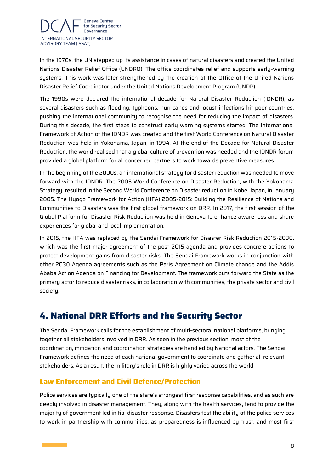

In the 1970s, the UN stepped up its assistance in cases of natural disasters and created the United Nations Disaster Relief Office (UNDRO). The office coordinates relief and supports early-warning systems. This work was later strengthened by the creation of the Office of the United Nations Disaster Relief Coordinator under the United Nations Development Program (UNDP).

The 1990s were declared the international decade for Natural Disaster Reduction (IDNDR), as several disasters such as flooding, typhoons, hurricanes and locust infections hit poor countries, pushing the international community to recognise the need for reducing the impact of disasters. During this decade, the first steps to construct early warning systems started. The International Framework of Action of the IDNDR was created and the first World Conference on Natural Disaster Reduction was held in Yokohama, Japan, in 1994. At the end of the Decade for Natural Disaster Reduction, the world realised that a global culture of prevention was needed and the IDNDR forum provided a global platform for all concerned partners to work towards preventive measures.

In the beginning of the 2000s, an international strategy for disaster reduction was needed to move forward with the IDNDR. The 2005 World Conference on Disaster Reduction, with the Yokohama Strategy, resulted in the Second World Conference on Disaster reduction in Kobe, Japan, in January 2005. The Hyogo Framework for Action (HFA) 2005-2015: Building the Resilience of Nations and Communities to Disasters was the first global framework on DRR. In 2017, the first session of the Global Platform for Disaster Risk Reduction was held in Geneva to enhance awareness and share experiences for global and local implementation.

In 2015, the HFA was replaced by the Sendai Framework for Disaster Risk Reduction 2015-2030, which was the first major agreement of the post-2015 agenda and provides concrete actions to protect development gains from disaster risks. The Sendai Framework works in conjunction with other 2030 Agenda agreements such as the Paris Agreement on Climate change and the Addis Ababa Action Agenda on Financing for Development. The framework puts forward the State as the primary actor to reduce disaster risks, in collaboration with communities, the private sector and civil society.

# <span id="page-8-0"></span>**4. National DRR Efforts and the Security Sector**

The Sendai Framework calls for the establishment of multi-sectoral national platforms, bringing together all stakeholders involved in DRR. As seen in the previous section, most of the coordination, mitigation and coordination strategies are handled by National actors. The Sendai Framework defines the need of each national government to coordinate and gather all relevant stakeholders. As a result, the military's role in DRR is highly varied across the world.

#### <span id="page-8-1"></span>**Law Enforcement and Civil Defence/Protection**

Police services are typically one of the state's strongest first response capabilities, and as such are deeply involved in disaster management. They, along with the health services, tend to provide the majority of government led initial disaster response. Disasters test the ability of the police services to work in partnership with communities, as preparedness is influenced by trust, and most first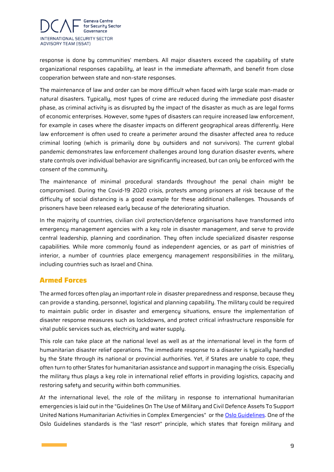

response is done by communities' members. All major disasters exceed the capability of state organizational responses capability, at least in the immediate aftermath, and benefit from close cooperation between state and non-state responses.

The maintenance of law and order can be more difficult when faced with large scale man-made or natural disasters. Typically, most types of crime are reduced during the immediate post disaster phase, as criminal activity is as disrupted by the impact of the disaster as much as are legal forms of economic enterprises. However, some types of disasters can require increased law enforcement, for example in cases where the disaster impacts on different geographical areas differently. Here law enforcement is often used to create a perimeter around the disaster affected area to reduce criminal looting (which is primarily done by outsiders and not survivors). The current global pandemic demonstrates law enforcement challenges around long duration disaster events, where state controls over individual behavior are significantly increased, but can only be enforced with the consent of the community.

The maintenance of minimal procedural standards throughout the penal chain might be compromised. During the Covid-19 2020 crisis, protests among prisoners at risk because of the difficulty of social distancing is a good example for these additional challenges. Thousands of prisoners have been released early because of the deteriorating situation.

In the majority of countries, civilian civil protection/defence organisations have transformed into emergency management agencies with a key role in disaster management, and serve to provide central leadership, planning and coordination. They often include specialized disaster response capabilities. While more commonly found as independent agencies, or as part of ministries of interior, a number of countries place emergency management responsibilities in the military, including countries such as Israel and China.

# <span id="page-9-0"></span>**Armed Forces**

The armed forces often play an important role in disaster preparedness and response, because they can provide a standing, personnel, logistical and planning capability. The military could be required to maintain public order in disaster and emergency situations, ensure the implementation of disaster response measures such as lockdowns, and protect critical infrastructure responsible for vital public services such as, electricity and water supply.

This role can take place at the national level as well as at the international level in the form of humanitarian disaster relief operations. The immediate response to a disaster is typically handled by the State through its national or provincial authorities. Yet, if States are unable to cope, they often turn to other States for humanitarian assistance and support in managing the crisis. Especially the military thus plays a key role in international relief efforts in providing logistics, capacity and restoring safety and security within both communities.

At the international level, the role of the military in response to international humanitarian emergencies is laid out in the "Guidelines On The Use of Military and Civil Defence Assets To Support United Nations Humanitarian Activities in Complex Emergencies" or the [Oslo Guidelines.](https://www.unocha.org/sites/unocha/files/OSLO%20Guidelines%20Rev%201.1%20-%20Nov%2007_0.pdf) One of the Oslo Guidelines standards is the "last resort" principle, which states that foreign military and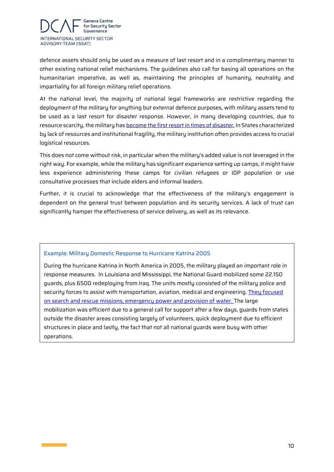

defence assets should only be used as a measure of last resort and in a complimentary manner to other existing national relief mechanisms. The guidelines also call for basing all operations on the humanitarian imperative, as well as, maintaining the principles of humanity, neutrality and impartiality for all foreign military relief operations.

At the national level, the majority of national legal frameworks are restrictive regarding the deployment of the military for anything but external defence purposes, with military assets tend to be used as a last resort for disaster response. However, in many developing countries, due to resource scarcity, the military ha[s become the first resort in times of disaster.](https://www.brookings.edu/wp-content/uploads/2016/06/05-civ-mil-disasters-ferris.pdf) In States characterized by lack of resources and institutional fragility, the military institution often provides access to crucial logistical resources.

This does not come without risk, in particular when the military's added value is not leveraged in the right way. For example, while the military has significant experience setting up camps, it might have less experience administering these camps for civilian refugees or IDP population or use consultative processes that include elders and informal leaders.

Further, it is crucial to acknowledge that the effectiveness of the military's engagement is dependent on the general trust between population and its security services. A lack of trust can significantly hamper the effectiveness of service delivery, as well as its relevance.

#### Example: Military Domestic Response to Hurricane Katrina 2005

During the hurricane Katrina in North America in 2005, the military played an important role in response measures. In Louisiana and Mississippi, the National Guard mobilized some 22.150 guards, plus 6500 redeploying from Iraq. The units mostly consisted of the military police and security forces to assist with transportation, aviation, medical and engineering. They focused [on search and rescue missions, emergency power and provision of water.](https://www.jstor.org/stable/10.7249/mg603a.11?seq=17#metadata_info_tab_contents) The large mobilization was efficient due to a general call for support after a few days, guards from states outside the disaster areas consisting largely of volunteers, quick deployment due to efficient structures in place and lastly, the fact that not all national guards were busy with other operations.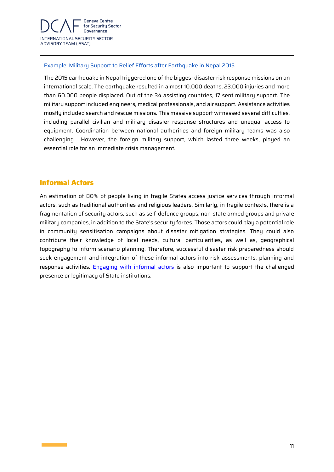

#### Example: Military Support to Relief Efforts after Earthquake in Nepal 2015

The 2015 earthquake in Nepal triggered one of the biggest disaster risk response missions on an international scale. The earthquake resulted in almost 10.000 deaths, 23.000 injuries and more than 60.000 people displaced. Out of the 34 assisting countries, 17 sent military support. The military support included engineers, medical professionals, and air support. Assistance activities mostly included search and rescue missions. This massive support witnessed several difficulties, including parallel civilian and military disaster response structures and unequal access to equipment. Coordination between national authorities and foreign military teams was also challenging. However, the foreign military support, which lasted three weeks, played an essential role for an immediate crisis management.

# <span id="page-11-0"></span>**Informal Actors**

An estimation of 80% of people living in fragile States access justice services through informal actors, such as traditional authorities and religious leaders. Similarly, in fragile contexts, there is a fragmentation of security actors, such as self-defence groups, non-state armed groups and private military companies, in addition to the State's security forces. Those actors could play a potential role in community sensitisation campaigns about disaster mitigation strategies. They could also contribute their knowledge of local needs, cultural particularities, as well as, geographical topography to inform scenario planning. Therefore, successful disaster risk preparedness should seek engagement and integration of these informal actors into risk assessments, planning and response activities. [Engaging with informal actors](https://www.odi.org/sites/odi.org.uk/files/resource-documents/12910.pdf) is also important to support the challenged presence or legitimacy of State institutions.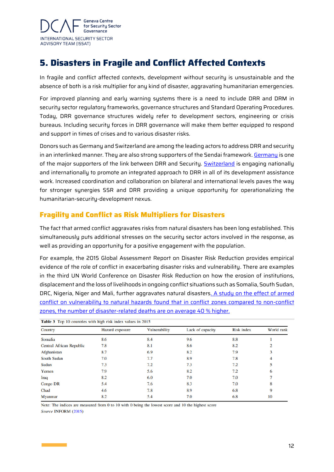

# <span id="page-12-0"></span>**5. Disasters in Fragile and Conflict Affected Contexts**

In fragile and conflict affected contexts, development without security is unsustainable and the absence of both is a risk multiplier for any kind of disaster, aggravating humanitarian emergencies.

For improved planning and early warning systems there is a need to include DRR and DRM in security sector regulatory frameworks, governance structures and Standard Operating Procedures. Today, DRR governance structures widely refer to development sectors, engineering or crisis bureaus. Including security forces in DRR governance will make them better equipped to respond and support in times of crises and to various disaster risks.

Donors such as Germany and Switzerland are among the leading actors to address DRR and security in an interlinked manner. They are also strong supporters of the Sendai framework. [Germany](https://www.gidrm.net/en) is one of the major supporters of the link between DRR and Security. [Switzerland](https://www.eda.admin.ch/deza/en/home/themes-sdc/disaster-reduction-relief-reconstruction/disaster-risk-reduction.html) is engaging nationally and internationally to promote an integrated approach to DRR in all of its development assistance work. Increased coordination and collaboration on bilateral and international levels paves the way for stronger synergies SSR and DRR providing a unique opportunity for operationalizing the humanitarian-security-development nexus.

# <span id="page-12-1"></span>**Fragility and Conflict as Risk Multipliers for Disasters**

The fact that armed conflict aggravates risks from natural disasters has been long established. This simultaneously puts additional stresses on the security sector actors involved in the response, as well as providing an opportunity for a positive engagement with the population.

For example, the 2015 Global Assessment Report on Disaster Risk Reduction provides empirical evidence of the role of conflict in exacerbating disaster risks and vulnerability. There are examples in the third UN World Conference on Disaster Risk Reduction on how the erosion of institutions, displacement and the loss of livelihoods in ongoing conflict situations such as Somalia, South Sudan, DRC, Nigeria, Niger and Mali, further aggravates natural disasters. A [study on the effect of armed](file:///C:/Users/arvasc/Downloads/The_Human_Cost_of_Natural_Disasters_CRED.pdf)  conflict on vulnerability to natural hazards [found that in conflict zones compared to non-conflict](file:///C:/Users/arvasc/Downloads/The_Human_Cost_of_Natural_Disasters_CRED.pdf)  [zones, the number of disaster-related](file:///C:/Users/arvasc/Downloads/The_Human_Cost_of_Natural_Disasters_CRED.pdf) deaths are on average 40 % higher.

| <b>Table 3</b> Top 10 countries with high risk index values in 2015 |                 |               |                  |                   |            |  |  |  |  |
|---------------------------------------------------------------------|-----------------|---------------|------------------|-------------------|------------|--|--|--|--|
| Country                                                             | Hazard exposure | Vulnerability | Lack of capacity | <b>Risk index</b> | World rank |  |  |  |  |
| Somalia                                                             | 8.6             | 8.4           | 9.6              | 8.8               |            |  |  |  |  |
| <b>Central African Republic</b>                                     | 7.8             | 8.1           | 8.6              | 8.2               |            |  |  |  |  |
| Afghanistan                                                         | 8.7             | 6.9           | 8.2              | 7.9               |            |  |  |  |  |
| <b>South Sudan</b>                                                  | 7.0             | 7.7           | 8.9              | 7.8               |            |  |  |  |  |
| Sudan                                                               | 7.3             | 7.2           | 7.3              | 7.2               |            |  |  |  |  |
| Yemen                                                               | 7.9             | 5.6           | 8.2              | 7.2               |            |  |  |  |  |
| Iraq                                                                | 8.2             | 6.0           | 7.0              | 7.0               |            |  |  |  |  |
| <b>Congo DR</b>                                                     | 5.4             | 7.6           | 8.3              | 7.0               |            |  |  |  |  |
| Chad                                                                | 4.6             | 7.8           | 8.9              | 6.8               |            |  |  |  |  |
| <b>Myanmar</b>                                                      | 8.2             | 5.4           | 7.0              | 6.8               | 10         |  |  |  |  |

Note: The indices are measured from 0 to 10 with 0 being the lowest score and 10 the highest score Source INFORM (2015)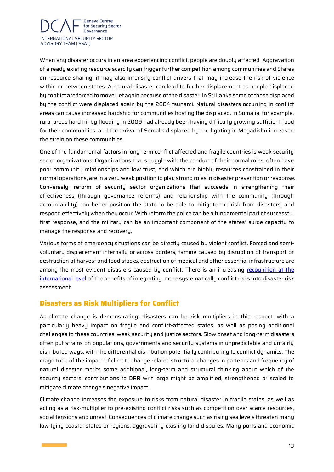

When any disaster occurs in an area experiencing conflict, people are doubly affected. Aggravation of already existing resource scarcity can trigger further competition among communities and States on resource sharing, it may also intensify conflict drivers that may increase the risk of violence within or between states. A natural disaster can lead to further displacement as people displaced by conflict are forced to move yet again because of the disaster. In Sri Lanka some of those displaced by the conflict were displaced again by the 2004 tsunami. Natural disasters occurring in conflict areas can cause increased hardship for communities hosting the displaced. In Somalia, for example, rural areas hard hit by flooding in 2009 had already been having difficulty growing sufficient food for their communities, and the arrival of Somalis displaced by the fighting in Mogadishu increased the strain on these communities.

One of the fundamental factors in long term conflict affected and fragile countries is weak security sector organizations. Organizations that struggle with the conduct of their normal roles, often have poor community relationships and low trust, and which are highly resources constrained in their normal operations, are in a very weak position to play strong roles in disaster prevention or response. Conversely, reform of security sector organizations that succeeds in strengthening their effectiveness (through governance reforms) and relationship with the community (through accountability) can better position the state to be able to mitigate the risk from disasters, and respond effectively when they occur. With reform the police can be a fundamental part of successful first response, and the military can be an important component of the states' surge capacity to manage the response and recovery.

Various forms of emergency situations can be directly caused by violent conflict. Forced and semivoluntary displacement internally or across borders, famine caused by disruption of transport or destruction of harvest and food stocks, destruction of medical and other essential infrastructure are among the most evident disasters caused by conflict. There is an increasing recognition at the [international level](https://www.preventionweb.net/files/58809_chairsummary.pdf) of the benefits of integrating more systematically conflict risks into disaster risk assessment.

#### <span id="page-13-0"></span>**Disasters as Risk Multipliers for Conflict**

As climate change is demonstrating, disasters can be risk multipliers in this respect, with a particularly heavy impact on fragile and conflict-affected states, as well as posing additional challenges to these countries' weak security and justice sectors. Slow onset and long-term disasters often put strains on populations, governments and security systems in unpredictable and unfairly distributed ways, with the differential distribution potentially contributing to conflict dynamics. The magnitude of the impact of climate change related structural changes in patterns and frequency of natural disaster merits some additional, long-term and structural thinking about which of the security sectors' contributions to DRR writ large might be amplified, strengthened or scaled to mitigate climate change's negative impact.

Climate change increases the exposure to risks from natural disaster in fragile states, as well as acting as a risk-multiplier to pre-existing conflict risks such as competition over scarce resources, social tensions and unrest. Consequences of climate change such as rising sea levels threaten many low-lying coastal states or regions, aggravating existing land disputes. Many ports and economic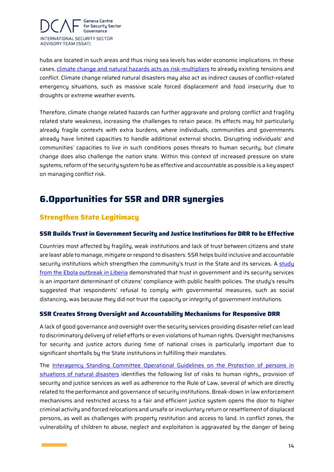

hubs are located in such areas and thus rising sea levels has wider economic implications. In these cases, [climate change and natural hazards acts as risk-multipliers](https://www.thehagueinstituteforglobaljustice.org/wp-content/uploads/2015/10/working-Paper-9-climate-change-threat-multiplier.pdf) to already existing tensions and conflict. Climate change related natural disasters may also act as indirect causes of conflict-related emergency situations, such as massive scale forced displacement and food insecurity due to droughts or extreme weather events.

Therefore, climate change related hazards can further aggravate and prolong conflict and fragility related state weakness, increasing the challenges to retain peace. Its effects may hit particularly already fragile contexts with extra burdens, where individuals, communities and governments already have limited capacities to handle additional external shocks. Disrupting individuals' and communities' capacities to live in such conditions poses threats to human security, but climate change does also challenge the nation state. Within this context of increased pressure on state systems, reform of the security system to be as effective and accountable as possible is a key aspect on managing conflict risk.

# <span id="page-14-0"></span>**6.Opportunities for SSR and DRR synergies**

# <span id="page-14-1"></span>**Strengthen State Legitimacy**

#### <span id="page-14-2"></span>**SSR Builds Trust in Government Security and Justice Institutions for DRR to be Effective**

Countries most affected by fragility, weak institutions and lack of trust between citizens and state are least able to manage, mitigate or respond to disasters. SSR helps build inclusive and accountable security institutions which strengthen the community's trust in the State and its services. A study [from the Ebola outbreak in Liberia](https://pdf.sciencedirectassets.com/271821/1-s2.0-S0277953616X00238/1-s2.0-S0277953616306256/main.pdf?X-Amz-Date=20200323T134220Z&X-Amz-Algorithm=AWS4-HMAC-SHA256&X-Amz-Signature=661b154b7eb925b768f078fde359e5f0347e4c79e8ceaf65e96de6ecc843a15a&X-Amz-Credential=ASIAQ3PHCVTYUWYRDWXZ%2F20200323%2Fus-east-1%2Fs3%2Faws4_request&type=client&tid=prr-e11e93c3-b386-49ee-9fa3-06a51dc8923c&sid=a31af2b8983a58489b1a6871a53b3a6229efgxrqb&pii=S0277953616306256&X-Amz-SignedHeaders=host&X-Amz-Security-Token=IQoJb3JpZ2luX2VjEEwaCXVzLWVhc3QtMSJIMEYCIQD0ZK9Ye%2FJQIH6tuPPdfkTRsumcNkSzTJTiqwIucu2lwgIhAIjqsZNmRvMYJyge4ob%2BC5Kc3nf5pezflng8PlGTVcYJKrQDCEUQAhoMMDU5MDAzNTQ2ODY1Igxp6PO%2Fjsl5hPmKD0oqkQMXsu678zc%2Fm57cpCBPCETZhnV5CXG7njZTGSLajzgPcxCZY77hq9SilkY8Ma9xgPIAyTI7N%2FAES54WMQPzPwwDbWwZI0CbDE69Nvy9K79cQ0e3iWDLABABGEtqZP63MLAwhFSTMRCyKG2K24Ez0Dawa4cEm4z3JMRElSdbauln8vffGFpGTZyDdN3PccsCJ%2FK76f1xgfZmyhIgGQ6fdVfAD4VczHU1pQ6Y6Ng3JtoZdm42xbRuUDoU3tPwSM8OMwotvNyDJ6PJqxGhd72VuY04kvj5WWyXJq7cGV4UhgQcQLZxUmdRg7aeJRgvYvfS8IpNu33kDCQrIgJP8iP1bvRVAxVNuLTAW7XG4g1PMJiJeoqd5FuJkSLRPvA2hHj9YGiM54vQm%2Fyodr1X21lfsJku3pgxDHCjirUp0PFvm2HGpqNxFc%2Bkvuh8jyUN3P5k%2Bg6NPTXlFqt61JXupFMlz6E1PUvNWNbWeccFYprMZP8o6N1hoAbWgJ1m7LraJWaeR8Ligxox3BolMdwhxC7dYYK6HDDiyeLzBTrqAeSVXuJOAzYcaZHVv4yA4yHHkMmQyJWmUoQ1MvBVp9SeGxCCnmTOGhLE9zWQK%2Ftld%2BUJIZf%2F%2FZFwyAs4S%2FHXFdDapJm742UJWUV%2ForCMN8BtvjO%2BJz3AYVXvYxuJ12gfTKnho4A8QkWlcxmHLa7LFxJQJ4BLwt4X%2BAkndw7VrJ31jnGMDc2GXlBq3QblF6X1zOLxjHmVc6RpAmDCgGGC8%2Fqrns5wKaXko2TVtNiQzY6zvaE8Vh%2F1MGsVqtPY44ROrqNlhSdAUOmtN245Nf%2Fih2AD6Im7uVj9zS34%2Fnw6jnbGzHfKZTdgUgnplg%3D%3D&host=68042c943591013ac2b2430a89b270f6af2c76d8dfd086a07176afe7c76c2c61&X-Amz-Expires=300&hash=31db4fbbf17dd2ab9f2c981092b7f5e01f0fba64075bcba40568e031d61f208a) demonstrated that trust in government and its security services is an important determinant of citizens' compliance with public health policies. The study's results suggested that respondents' refusal to comply with governmental measures, such as social distancing, was because they did not trust the capacity or integrity of government institutions.

#### <span id="page-14-3"></span>**SSR Creates Strong Oversight and Accountability Mechanisms for Responsive DRR**

A lack of good governance and oversight over the security services providing disaster relief can lead to discriminatory delivery of relief efforts or even violations of human rights. Oversight mechanisms for security and justice actors during time of national crises is particularly important due to significant shortfalls by the State institutions in fulfilling their mandates.

The [Interagency Standing Committee Operational Guidelines on the Protection of persons in](https://www.ohchr.org/Documents/Issues/IDPersons/OperationalGuidelines_IDP.pdf)  [situations of natural disasters](https://www.ohchr.org/Documents/Issues/IDPersons/OperationalGuidelines_IDP.pdf) identifies the following list of risks to human rights,, provision of security and justice services as well as adherence to the Rule of Law, several of which are directly related to the performance and governance of security institutions. Break-down in law enforcement mechanisms and restricted access to a fair and efficient justice system opens the door to higher criminal activity and forced relocations and unsafe or involuntary return or resettlement of displaced persons, as well as challenges with property restitution and access to land. In conflict zones, the vulnerability of children to abuse, neglect and exploitation is aggravated by the danger of being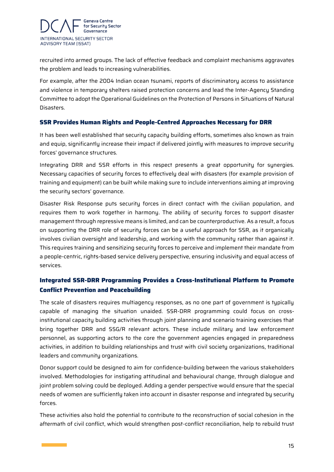

recruited into armed groups. The lack of effective feedback and complaint mechanisms aggravates the problem and leads to increasing vulnerabilities.

For example, after the 2004 Indian ocean tsunami, reports of discriminatory access to assistance and violence in temporary shelters raised protection concerns and lead the Inter-Agency Standing Committee to adopt the Operational Guidelines on the Protection of Persons in Situations of Natural Disasters.

#### <span id="page-15-0"></span>**SSR Provides Human Rights and People-Centred Approaches Necessary for DRR**

It has been well established that security capacity building efforts, sometimes also known as train and equip, significantly increase their impact if delivered jointly with measures to improve security forces' governance structures.

Integrating DRR and SSR efforts in this respect presents a great opportunity for synergies. Necessary capacities of security forces to effectively deal with disasters (for example provision of training and equipment) can be built while making sure to include interventions aiming at improving the security sectors' governance.

Disaster Risk Response puts security forces in direct contact with the civilian population, and requires them to work together in harmony. The ability of security forces to support disaster management through repressive means is limited, and can be counterproductive. As a result, a focus on supporting the DRR role of security forces can be a useful approach for SSR, as it organically involves civilian oversight and leadership, and working with the community rather than against it. This requires training and sensitizing security forces to perceive and implement their mandate from a people-centric, rights-based service delivery perspective, ensuring inclusivity and equal access of services.

### <span id="page-15-1"></span>**Integrated SSR-DRR Programming Provides a Cross-Institutional Platform to Promote Conflict Prevention and Peacebuilding**

The scale of disasters requires multiagency responses, as no one part of government is typically capable of managing the situation unaided. SSR-DRR programming could focus on crossinstitutional capacity building activities through joint planning and scenario training exercises that bring together DRR and SSG/R relevant actors. These include military and law enforcement personnel, as supporting actors to the core the government agencies engaged in preparedness activities, in addition to building relationships and trust with civil society organizations, traditional leaders and community organizations.

Donor support could be designed to aim for confidence-building between the various stakeholders involved. Methodologies for instigating attitudinal and behavioural change, through dialogue and joint problem solving could be deployed. Adding a gender perspective would ensure that the special needs of women are sufficiently taken into account in disaster response and integrated by security forces.

These activities also hold the potential to contribute to the reconstruction of social cohesion in the aftermath of civil conflict, which would strengthen post-conflict reconciliation, help to rebuild trust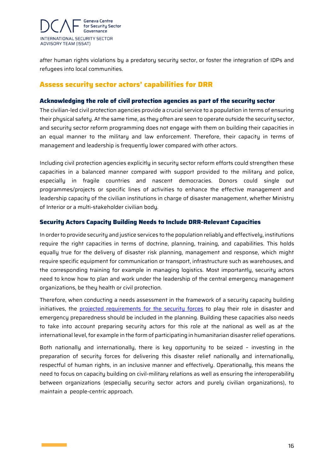

after human rights violations by a predatory security sector, or foster the integration of IDPs and refugees into local communities.

## <span id="page-16-0"></span>**Assess security sector actors' capabilities for DRR**

#### <span id="page-16-1"></span>**Acknowledging the role of civil protection agencies as part of the security sector**

The civilian-led civil protection agencies provide a crucial service to a population in terms of ensuring their physical safety. At the same time, as they often are seen to operate outside the security sector, and security sector reform programming does not engage with them on building their capacities in an equal manner to the military and law enforcement. Therefore, their capacity in terms of management and leadership is frequently lower compared with other actors.

Including civil protection agencies explicitly in security sector reform efforts could strengthen these capacities in a balanced manner compared with support provided to the military and police, especially in fragile countries and nascent democracies. Donors could single out programmes/projects or specific lines of activities to enhance the effective management and leadership capacity of the civilian institutions in charge of disaster management, whether Ministry of Interior or a multi-stakeholder civilian body.

#### <span id="page-16-2"></span>**Security Actors Capacity Building Needs to Include DRR-Relevant Capacities**

In order to provide security and justice services to the population reliably and effectively, institutions require the right capacities in terms of doctrine, planning, training, and capabilities. This holds equally true for the delivery of disaster risk planning, management and response, which might require specific equipment for communication or transport, infrastructure such as warehouses, and the corresponding training for example in managing logistics. Most importantly, security actors need to know how to plan and work under the leadership of the central emergency management organizations, be they health or civil protection.

Therefore, when conducting a needs assessment in the framework of a security capacity building initiatives, the [projected requirements for the security forces](https://peacelab.blog/2019/09/warum-klimaschutz-krisenpraevention-ist-das-beispiel-burkina-faso) to play their role in disaster and emergency preparedness should be included in the planning. Building these capacities also needs to take into account preparing security actors for this role at the national as well as at the international level, for example in the form of participating in humanitarian disaster relief operations.

Both nationally and internationally, there is key opportunity to be seized – investing in the preparation of security forces for delivering this disaster relief nationally and internationally, respectful of human rights, in an inclusive manner and effectively. Operationally, this means the need to focus on capacity building on civil-military relations as well as ensuring the interoperability between organizations (especially security sector actors and purely civilian organizations), to maintain a people-centric approach.